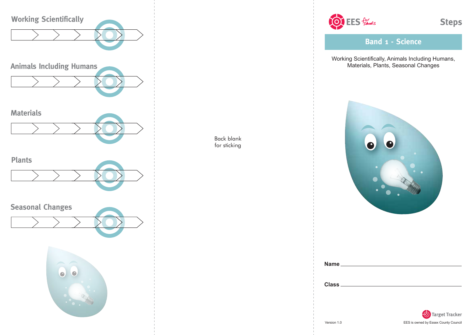

Back blank for sticking

OF EES formoots

**Band 1 - Science**

Working Scientifically, Animals Including Humans, Materials, Plants, Seasonal Changes